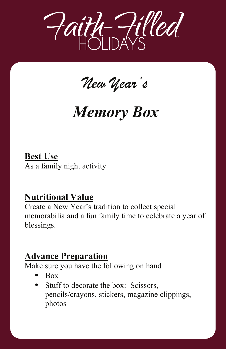

*New Year's* 

## *Memory Box*

**Best Use** As a family night activity

## **Nutritional Value**

Create a New Year's tradition to collect special memorabilia and a fun family time to celebrate a year of blessings.

## **Advance Preparation**

Make sure you have the following on hand

- **•** Box
- Stuff to decorate the box: Scissors, pencils/crayons, stickers, magazine clippings, photos